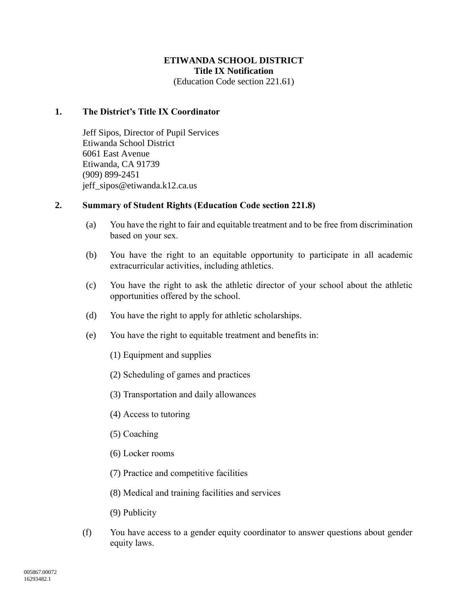### **ETIWANDA SCHOOL DISTRICT Title IX Notification**  (Education Code section 221.61)

#### **1. The District's Title IX Coordinator**

Jeff Sipos, Director of Pupil Services Etiwanda School District 6061 East Avenue Etiwanda, CA 91739 (909) 899-2451 jeff\_sipos@etiwanda.k12.ca.us

#### **2. Summary of Student Rights (Education Code section 221.8)**

- (a) You have the right to fair and equitable treatment and to be free from discrimination based on your sex.
- (b) You have the right to an equitable opportunity to participate in all academic extracurricular activities, including athletics.
- (c) You have the right to ask the athletic director of your school about the athletic opportunities offered by the school.
- (d) You have the right to apply for athletic scholarships.
- (e) You have the right to equitable treatment and benefits in:
	- (1) Equipment and supplies
	- (2) Scheduling of games and practices
	- (3) Transportation and daily allowances
	- (4) Access to tutoring
	- (5) Coaching
	- (6) Locker rooms
	- (7) Practice and competitive facilities
	- (8) Medical and training facilities and services
	- (9) Publicity
- (f) You have access to a gender equity coordinator to answer questions about gender equity laws.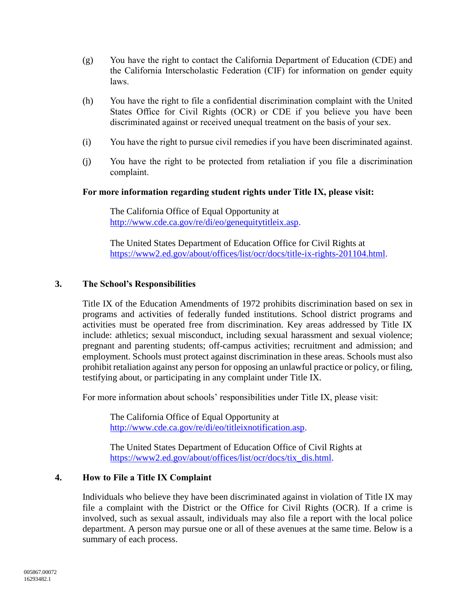- (g) You have the right to contact the California Department of Education (CDE) and the California Interscholastic Federation (CIF) for information on gender equity laws.
- (h) You have the right to file a confidential discrimination complaint with the United States Office for Civil Rights (OCR) or CDE if you believe you have been discriminated against or received unequal treatment on the basis of your sex.
- (i) You have the right to pursue civil remedies if you have been discriminated against.
- (j) You have the right to be protected from retaliation if you file a discrimination complaint.

# **For more information regarding student rights under Title IX, please visit:**

The California Office of Equal Opportunity at [http://www.cde.ca.gov/re/di/eo/genequitytitleix.asp.](http://www.cde.ca.gov/re/di/eo/genequitytitleix.asp)

The United States Department of Education Office for Civil Rights at [https://www2.ed.gov/about/offices/list/ocr/docs/title-ix-rights-201104.html.](https://www2.ed.gov/about/offices/list/ocr/docs/title-ix-rights-201104.html)

# **3. The School's Responsibilities**

Title IX of the Education Amendments of 1972 prohibits discrimination based on sex in programs and activities of federally funded institutions. School district programs and activities must be operated free from discrimination. Key areas addressed by Title IX include: athletics; sexual misconduct, including sexual harassment and sexual violence; pregnant and parenting students; off-campus activities; recruitment and admission; and employment. Schools must protect against discrimination in these areas. Schools must also prohibit retaliation against any person for opposing an unlawful practice or policy, or filing, testifying about, or participating in any complaint under Title IX.

For more information about schools' responsibilities under Title IX, please visit:

The California Office of Equal Opportunity at [http://www.cde.ca.gov/re/di/eo/titleixnotification.asp.](http://www.cde.ca.gov/re/di/eo/titleixnotification.asp)

The United States Department of Education Office of Civil Rights at [https://www2.ed.gov/about/offices/list/ocr/docs/tix\\_dis.html.](https://www2.ed.gov/about/offices/list/ocr/docs/tix_dis.html)

# **4. How to File a Title IX Complaint**

Individuals who believe they have been discriminated against in violation of Title IX may file a complaint with the District or the Office for Civil Rights (OCR). If a crime is involved, such as sexual assault, individuals may also file a report with the local police department. A person may pursue one or all of these avenues at the same time. Below is a summary of each process.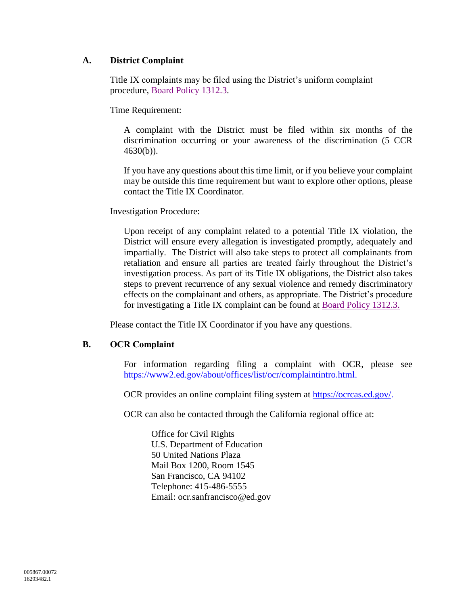### **A. District Complaint**

Title IX complaints may be filed using the District's uniform complaint procedure, [Board Policy 1312.3.](http://work.etiwanda.org/district/board/boardpolicy/1000/BP%201312.31%20%5EUniform%20Complaint%20Procedures.pdf)

Time Requirement:

A complaint with the District must be filed within six months of the discrimination occurring or your awareness of the discrimination (5 CCR 4630(b)).

If you have any questions about this time limit, or if you believe your complaint may be outside this time requirement but want to explore other options, please contact the Title IX Coordinator.

Investigation Procedure:

Upon receipt of any complaint related to a potential Title IX violation, the District will ensure every allegation is investigated promptly, adequately and impartially. The District will also take steps to protect all complainants from retaliation and ensure all parties are treated fairly throughout the District's investigation process. As part of its Title IX obligations, the District also takes steps to prevent recurrence of any sexual violence and remedy discriminatory effects on the complainant and others, as appropriate. The District's procedure for investigating a Title IX complaint can be found at [Board Policy 1312.3.](http://www.etiwanda.k12.ca.us/district/board/boardpolicy/1000/BP%201312.3%20%5EUniform%20Complaint%20Procedure.pdf)

Please contact the Title IX Coordinator if you have any questions.

### **B. OCR Complaint**

For information regarding filing a complaint with OCR, please see [https://www2.ed.gov/about/offices/list/ocr/complaintintro.html.](https://www2.ed.gov/about/offices/list/ocr/complaintintro.html)

OCR provides an online complaint filing system at [https://ocrcas.ed.gov/.](https://ocrcas.ed.gov/)

OCR can also be contacted through the California regional office at:

Office for Civil Rights U.S. Department of Education 50 United Nations Plaza Mail Box 1200, Room 1545 San Francisco, CA 94102 Telephone: 415-486-5555 Email: ocr.sanfrancisco@ed.gov